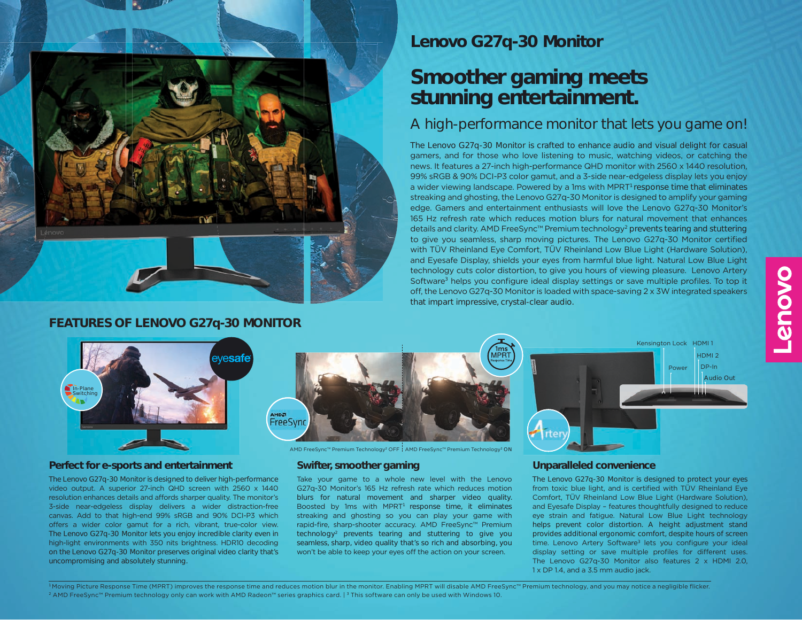

#### **FEATURES OF LENOVO G27q-30 MONITOR**

**Lenovo G27q-30 Monitor**

# **Smoother gaming meets stunning entertainment.**

# A high-performance monitor that lets you game on!

The Lenovo G27q-30 Monitor is crafted to enhance audio and visual delight for casual gamers, and for those who love listening to music, watching videos, or catching the news. It features a 27-inch high-performance QHD monitor with 2560 x 1440 resolution, 99% sRGB & 90% DCI-P3 color gamut, and a 3-side near-edgeless display lets you enjoy a wider viewing landscape. Powered by a 1ms with MPRT<sup>1</sup> response time that eliminates streaking and ghosting, the Lenovo G27q-30 Monitor is designed to amplify your gaming edge. Gamers and entertainment enthusiasts will love the Lenovo G27q-30 Monitor's 165 Hz refresh rate which reduces motion blurs for natural movement that enhances details and clarity. AMD FreeSync™ Premium technology2 prevents tearing and stuttering to give you seamless, sharp moving pictures. The Lenovo G27q-30 Monitor certified with TÜV Rheinland Eye Comfort, TÜV Rheinland Low Blue Light (Hardware Solution), and Eyesafe Display, shields your eyes from harmful blue light. Natural Low Blue Light technology cuts color distortion, to give you hours of viewing pleasure. Lenovo Artery Software<sup>3</sup> helps you configure ideal display settings or save multiple profiles. To top it off, the Lenovo G27q-30 Monitor is loaded with space-saving 2 x 3W integrated speakers that impart impressive, crystal-clear audio.



#### **Perfect for e-sports and entertainment <b>Swifter**, smoother gaming

The Lenovo G27q-30 Monitor is designed to deliver high-performance video output. A superior 27-inch QHD screen with 2560 x 1440 resolution enhances details and affords sharper quality. The monitor's 3-side near-edgeless display delivers a wider distraction-free canvas. Add to that high-end 99% sRGB and 90% DCI-P3 which offers a wider color gamut for a rich, vibrant, true-color view. The Lenovo G27q-30 Monitor lets you enjoy incredible clarity even in high-light environments with 350 nits brightness. HDR10 decoding on the Lenovo G27q-30 Monitor preserves original video clarity that's uncompromising and absolutely stunning.



AMD FreeSync™ Premium Technology<sup>2</sup> OFF AMD FreeSync™ Premium Technology<sup>2</sup> ON

Take your game to a whole new level with the Lenovo G27q-30 Monitor's 165 Hz refresh rate which reduces motion blurs for natural movement and sharper video quality. Boosted by 1ms with MPRT<sup>1</sup> response time, it eliminates streaking and ghosting so you can play your game with rapid-fire, sharp-shooter accuracy. AMD FreeSync™ Premium technology2 prevents tearing and stuttering to give you seamless, sharp, video quality that's so rich and absorbing, you won't be able to keep your eyes off the action on your screen.



#### **Unparalleled convenience**

The Lenovo G27q-30 Monitor is designed to protect your eyes from toxic blue light, and is certified with TÜV Rheinland Eye Comfort, TÜV Rheinland Low Blue Light (Hardware Solution), and Eyesafe Display – features thoughtfully designed to reduce eye strain and fatigue. Natural Low Blue Light technology helps prevent color distortion. A height adjustment stand provides additional ergonomic comfort, despite hours of screen time. Lenovo Artery Software<sup>3</sup> lets you configure your ideal display setting or save multiple profiles for different uses. The Lenovo G27q-30 Monitor also features 2 x HDMI 2.0, 1 x DP 1.4, and a 3.5 mm audio jack.

<sup>1</sup> Moving Picture Response Time (MPRT) improves the response time and reduces motion blur in the monitor. Enabling MPRT will disable AMD FreeSync™ Premium technology, and you may notice a negligible flicker. <sup>2</sup> AMD FreeSync™ Premium technology only can work with AMD Radeon™ series graphics card. | 3 This software can only be used with Windows 10.